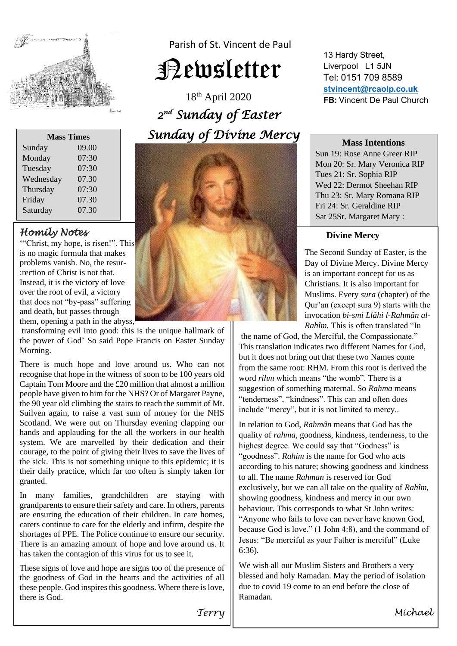

Parish of St. Vincent de Paul

# Newsletter

18 th April 2020  *2 nd Sunday of Easter Sunday of Divine Mercy* 



**Mass Times** Sunday 09.00 Monday 07:30 Tuesday 07:30 Wednesday 07.30 Thursday 07:30 Friday 07.30 Saturday 07.30

## *Homily Notes*

'"Christ, my hope, is risen!". This is no magic formula that makes problems vanish. No, the resur- :rection of Christ is not that. Instead, it is the victory of love over the root of evil, a victory that does not "by-pass" suffering and death, but passes through them, opening a path in the abyss,

transforming evil into good: this is the unique hallmark of the power of God' So said Pope Francis on Easter Sunday Morning.

There is much hope and love around us. Who can not recognise that hope in the witness of soon to be 100 years old Captain Tom Moore and the £20 million that almost a million people have given to him for the NHS? Or of Margaret Payne, the 90 year old climbing the stairs to reach the summit of Mt. Suilven again, to raise a vast sum of money for the NHS Scotland. We were out on Thursday evening clapping our hands and applauding for the all the workers in our health system. We are marvelled by their dedication and their courage, to the point of giving their lives to save the lives of the sick. This is not something unique to this epidemic; it is their daily practice, which far too often is simply taken for granted.

In many families, grandchildren are staying with grandparents to ensure their safety and care. In others, parents are ensuring the education of their children. In care homes, carers continue to care for the elderly and infirm, despite the shortages of PPE. The Police continue to ensure our security. There is an amazing amount of hope and love around us. It has taken the contagion of this virus for us to see it.

These signs of love and hope are signs too of the presence of the goodness of God in the hearts and the activities of all these people. God inspires this goodness. Where there is love, there is God.

13 Hardy Street, Liverpool L1 5JN Tel: 0151 709 8589 **[stvincent@rcaolp.co.uk](mailto:stvincent@rcaolp.co.uk) FB:** Vincent De Paul Church

#### **Mass Intentions**

Sun 19: Rose Anne Greer RIP Mon 20: Sr. Mary Veronica RIP Tues 21: Sr. Sophia RIP Wed 22: Dermot Sheehan RIP Thu 23: Sr. Mary Romana RIP Fri 24: Sr. Geraldine RIP Sat 25Sr. Margaret Mary :

#### **Divine Mercy**

 The Second Sunday of Easter, is the Day of Divine Mercy. Divine Mercy is an important concept for us as Christians. It is also important for Muslims. Every *sura* (chapter) of the Qur'an (except sura 9) starts with the invocation *bi-smi Llâhi l-Rahmân al- Rahîm.* This is often translated "In

the name of God, the Merciful, the Compassionate." This translation indicates two different Names for God, but it does not bring out that these two Names come from the same root: RHM. From this root is derived the word *rihm* which means "the womb". There is a suggestion of something maternal. So *Rahma* means "tenderness", "kindness". This can and often does include "mercy", but it is not limited to mercy..

In relation to God, *Rahmân* means that God has the quality of *rahma,* goodness, kindness, tenderness, to the highest degree. We could say that "Godness" is "goodness". *Rahim* is the name for God who acts according to his nature; showing goodness and kindness to all. The name *Rahman* is reserved for God exclusively, but we can all take on the quality of *Rahîm,*  showing goodness, kindness and mercy in our own behaviour. This corresponds to what St John writes: "Anyone who fails to love can never have known God, because God is love." (1 John 4:8), and the command of Jesus: "Be merciful as your Father is merciful" (Luke 6:36).

We wish all our Muslim Sisters and Brothers a very blessed and holy Ramadan. May the period of isolation due to covid 19 come to an end before the close of Ramadan.

*Terry*